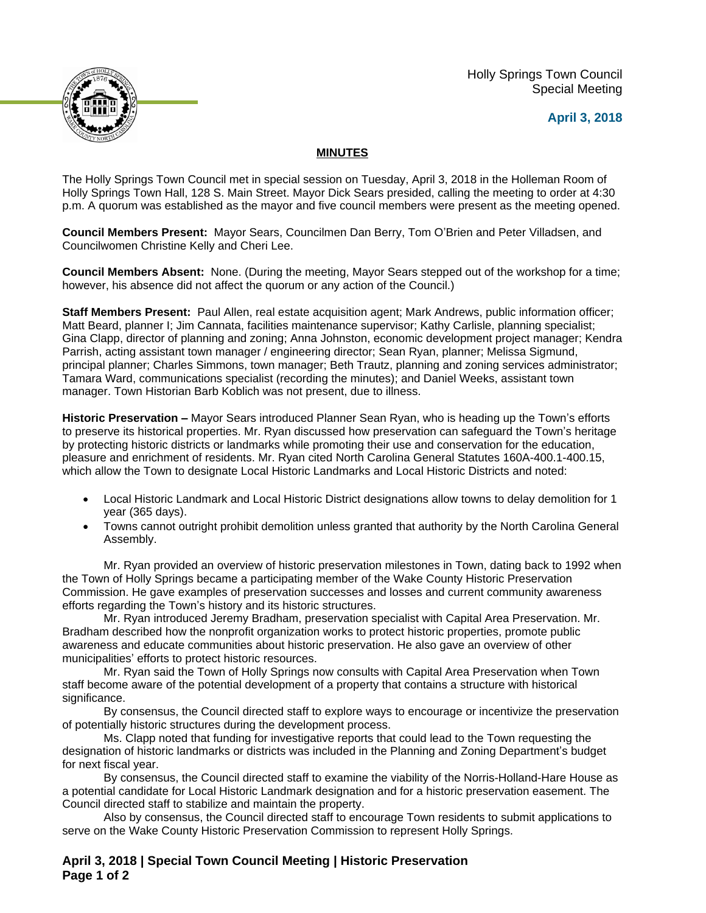Holly Springs Town Council Special Meeting

## **April 3, 2018**



## **MINUTES**

The Holly Springs Town Council met in special session on Tuesday, April 3, 2018 in the Holleman Room of Holly Springs Town Hall, 128 S. Main Street. Mayor Dick Sears presided, calling the meeting to order at 4:30 p.m. A quorum was established as the mayor and five council members were present as the meeting opened.

**Council Members Present:** Mayor Sears, Councilmen Dan Berry, Tom O'Brien and Peter Villadsen, and Councilwomen Christine Kelly and Cheri Lee.

**Council Members Absent:** None. (During the meeting, Mayor Sears stepped out of the workshop for a time; however, his absence did not affect the quorum or any action of the Council.)

**Staff Members Present:** Paul Allen, real estate acquisition agent; Mark Andrews, public information officer; Matt Beard, planner I; Jim Cannata, facilities maintenance supervisor; Kathy Carlisle, planning specialist; Gina Clapp, director of planning and zoning; Anna Johnston, economic development project manager; Kendra Parrish, acting assistant town manager / engineering director; Sean Ryan, planner; Melissa Sigmund, principal planner; Charles Simmons, town manager; Beth Trautz, planning and zoning services administrator; Tamara Ward, communications specialist (recording the minutes); and Daniel Weeks, assistant town manager. Town Historian Barb Koblich was not present, due to illness.

**Historic Preservation –** Mayor Sears introduced Planner Sean Ryan, who is heading up the Town's efforts to preserve its historical properties. Mr. Ryan discussed how preservation can safeguard the Town's heritage by protecting historic districts or landmarks while promoting their use and conservation for the education, pleasure and enrichment of residents. Mr. Ryan cited North Carolina General Statutes 160A-400.1-400.15, which allow the Town to designate Local Historic Landmarks and Local Historic Districts and noted:

- Local Historic Landmark and Local Historic District designations allow towns to delay demolition for 1 year (365 days).
- Towns cannot outright prohibit demolition unless granted that authority by the North Carolina General Assembly.

Mr. Ryan provided an overview of historic preservation milestones in Town, dating back to 1992 when the Town of Holly Springs became a participating member of the Wake County Historic Preservation Commission. He gave examples of preservation successes and losses and current community awareness efforts regarding the Town's history and its historic structures.

Mr. Ryan introduced Jeremy Bradham, preservation specialist with Capital Area Preservation. Mr. Bradham described how the nonprofit organization works to protect historic properties, promote public awareness and educate communities about historic preservation. He also gave an overview of other municipalities' efforts to protect historic resources.

Mr. Ryan said the Town of Holly Springs now consults with Capital Area Preservation when Town staff become aware of the potential development of a property that contains a structure with historical significance.

By consensus, the Council directed staff to explore ways to encourage or incentivize the preservation of potentially historic structures during the development process.

Ms. Clapp noted that funding for investigative reports that could lead to the Town requesting the designation of historic landmarks or districts was included in the Planning and Zoning Department's budget for next fiscal year.

By consensus, the Council directed staff to examine the viability of the Norris-Holland-Hare House as a potential candidate for Local Historic Landmark designation and for a historic preservation easement. The Council directed staff to stabilize and maintain the property.

Also by consensus, the Council directed staff to encourage Town residents to submit applications to serve on the Wake County Historic Preservation Commission to represent Holly Springs.

**April 3, 2018 | Special Town Council Meeting | Historic Preservation Page 1 of 2**